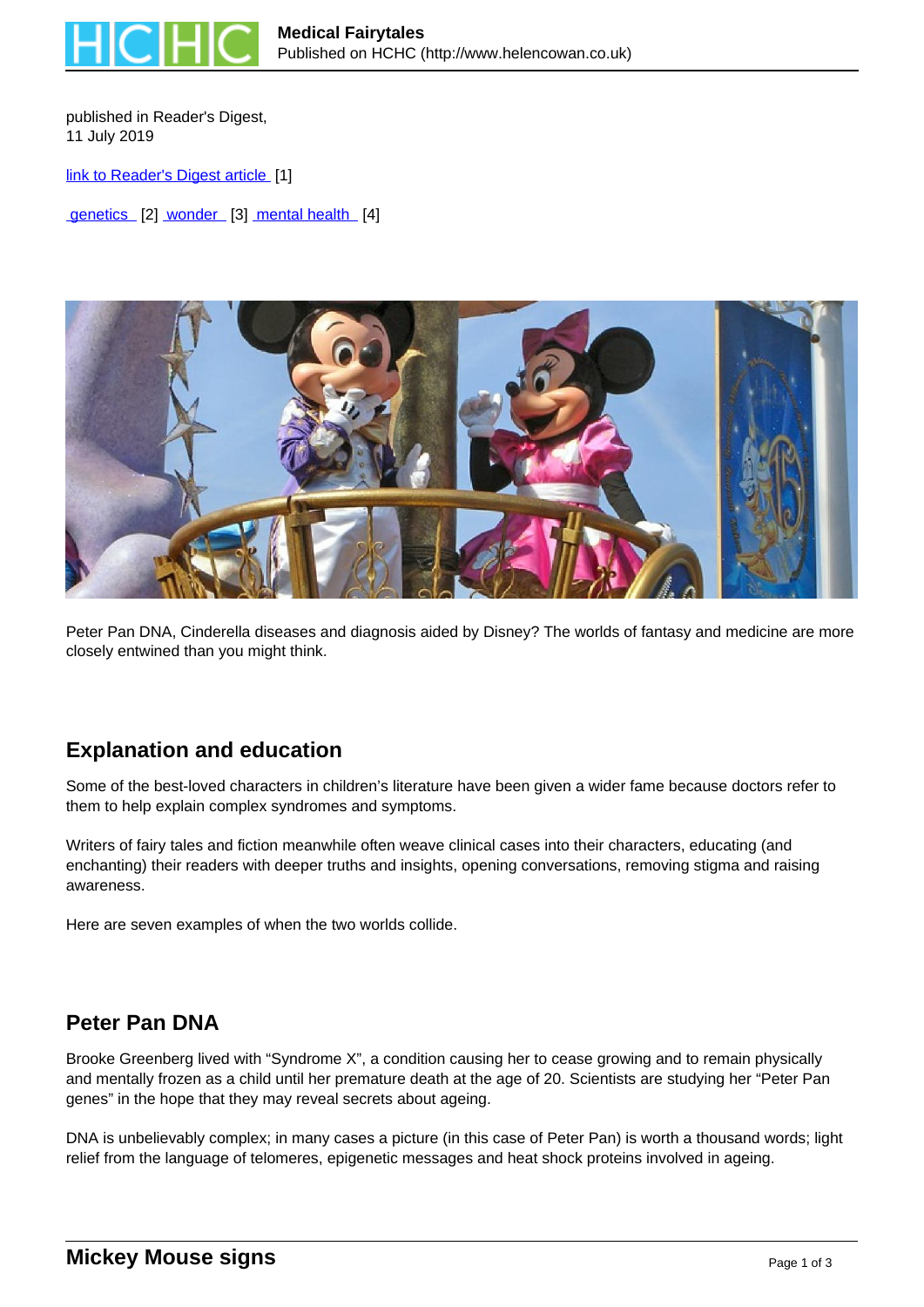

published in Reader's Digest, 11 July 2019

[link to Reader's Digest article](https://www.readersdigest.co.uk/health/wellbeing/medical-fairytales) [1]

genetics [2] wonder [3] mental health [4]



Peter Pan DNA, Cinderella diseases and diagnosis aided by Disney? The worlds of fantasy and medicine are more closely entwined than you might think.

### **Explanation and education**

Some of the best-loved characters in children's literature have been given a wider fame because doctors refer to them to help explain complex syndromes and symptoms.

Writers of fairy tales and fiction meanwhile often weave clinical cases into their characters, educating (and enchanting) their readers with deeper truths and insights, opening conversations, removing stigma and raising awareness.

Here are seven examples of when the two worlds collide.

#### **Peter Pan DNA**

Brooke Greenberg lived with "Syndrome X", a condition causing her to cease growing and to remain physically and mentally frozen as a child until her premature death at the age of 20. Scientists are studying her "Peter Pan genes" in the hope that they may reveal secrets about ageing.

DNA is unbelievably complex; in many cases a picture (in this case of Peter Pan) is worth a thousand words; light relief from the language of telomeres, epigenetic messages and heat shock proteins involved in ageing.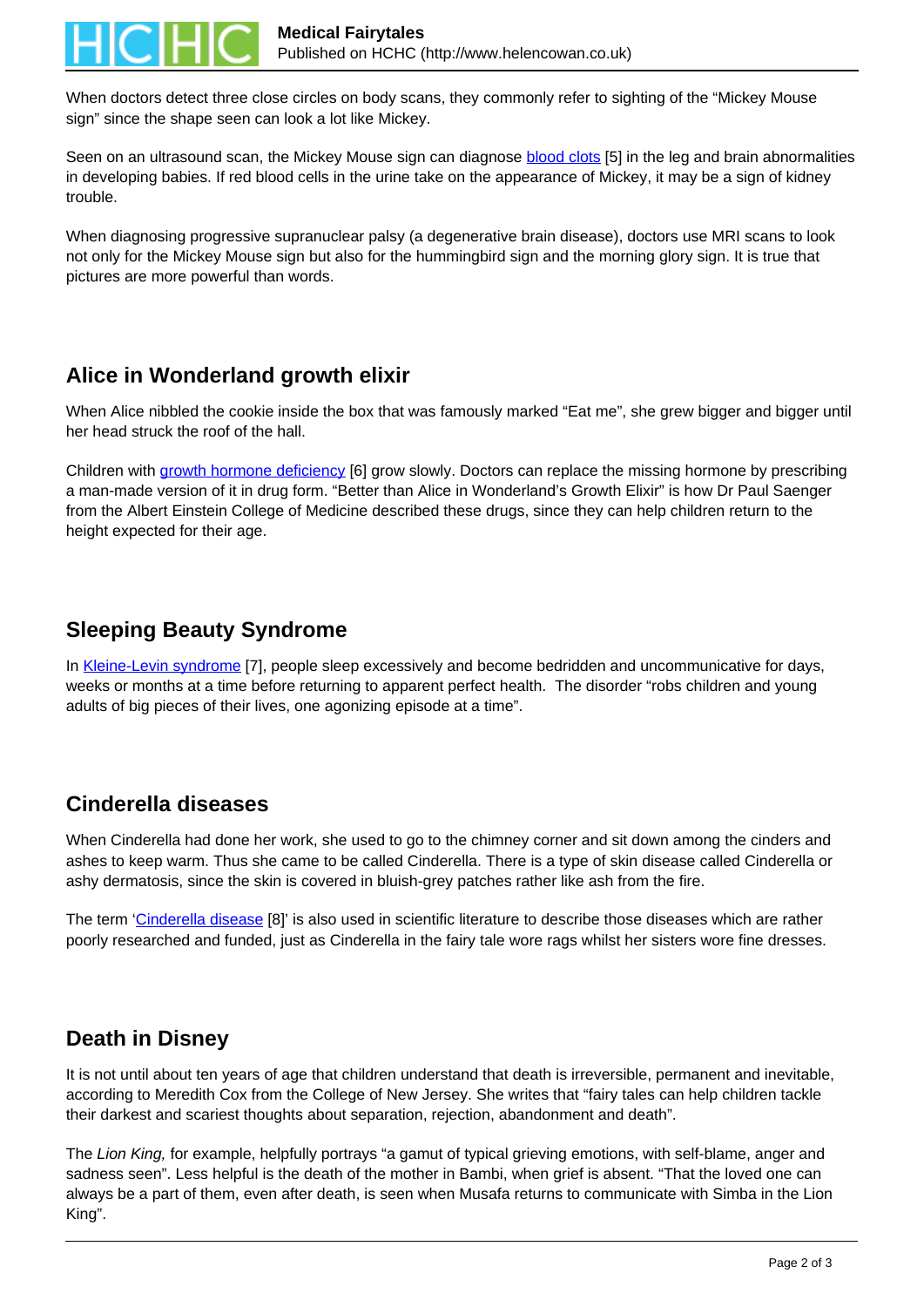

When doctors detect three close circles on body scans, they commonly refer to sighting of the "Mickey Mouse sign" since the shape seen can look a lot like Mickey.

Seen on an ultrasound scan, the Mickey Mouse sign can diagnose blood clots [5] in the leg and brain abnormalities in developing babies. If red blood cells in the urine take on the appearance of Mickey, it may be a sign of kidney trouble.

When diagnosing progressive supranuclear palsy (a degenerative brain disease), doctors use MRI scans to look not only for the Mickey Mouse sign but also for the hummingbird sign and the morning glory sign. It is true that pictures are more powerful than words.

# **Alice in Wonderland growth elixir**

When Alice nibbled the cookie inside the box that was famously marked "Eat me", she grew bigger and bigger until her head struck the roof of the hall.

Children with growth hormone deficiency [6] grow slowly. Doctors can replace the missing hormone by prescribing a man-made version of it in drug form. "Better than Alice in Wonderland's Growth Elixir" is how Dr Paul Saenger from the Albert Einstein College of Medicine described these drugs, since they can help children return to the height expected for their age.

### **Sleeping Beauty Syndrome**

In Kleine-Levin syndrome [7], people sleep excessively and become bedridden and uncommunicative for days, weeks or months at a time before returning to apparent perfect health. The disorder "robs children and young adults of big pieces of their lives, one agonizing episode at a time".

### **Cinderella diseases**

When Cinderella had done her work, she used to go to the chimney corner and sit down among the cinders and ashes to keep warm. Thus she came to be called Cinderella. There is a type of skin disease called Cinderella or ashy dermatosis, since the skin is covered in bluish-grey patches rather like ash from the fire.

The term 'Cinderella disease [8]' is also used in scientific literature to describe those diseases which are rather poorly researched and funded, just as Cinderella in the fairy tale wore rags whilst her sisters wore fine dresses.

# **Death in Disney**

It is not until about ten years of age that children understand that death is irreversible, permanent and inevitable, according to Meredith Cox from the College of New Jersey. She writes that "fairy tales can help children tackle their darkest and scariest thoughts about separation, rejection, abandonment and death".

The Lion King, for example, helpfully portrays "a gamut of typical grieving emotions, with self-blame, anger and sadness seen". Less helpful is the death of the mother in Bambi, when grief is absent. "That the loved one can always be a part of them, even after death, is seen when Musafa returns to communicate with Simba in the Lion King".